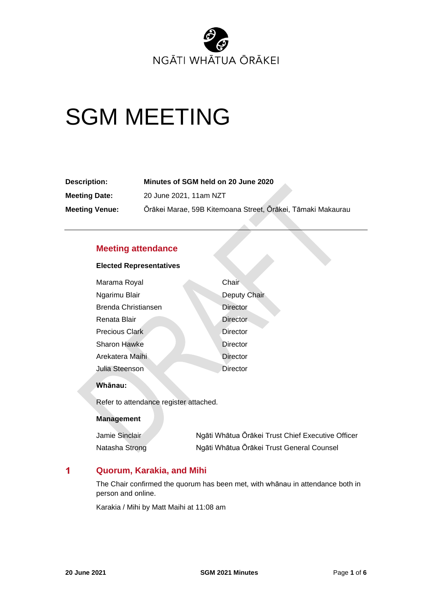

# SGM MEETING

| Description:          | Minutes of SGM held on 20 June 2020                         |
|-----------------------|-------------------------------------------------------------|
| <b>Meeting Date:</b>  | 20 June 2021, 11am NZT                                      |
| <b>Meeting Venue:</b> | Ōrākei Marae, 59B Kitemoana Street, Ōrākei, Tāmaki Makaurau |

## **Meeting attendance**

## **Elected Representatives**

| Marama Royal          | Chair           |
|-----------------------|-----------------|
| Ngarimu Blair         | Deputy Chair    |
| Brenda Christiansen   | Director        |
| Renata Blair          | <b>Director</b> |
| <b>Precious Clark</b> | Director        |
| <b>Sharon Hawke</b>   | Director        |
| Arekatera Maihi       | <b>Director</b> |
| Julia Steenson        | Director        |

## **Whānau:**

Refer to attendance register attached.

## **Management**

| Jamie Sinclair | Ngāti Whātua Ōrākei Trust Chief Executive Officer |
|----------------|---------------------------------------------------|
| Natasha Strong | Ngāti Whātua Ōrākei Trust General Counsel         |

#### $\blacktriangleleft$ **Quorum, Karakia, and Mihi**

The Chair confirmed the quorum has been met, with whānau in attendance both in person and online.

Karakia / Mihi by Matt Maihi at 11:08 am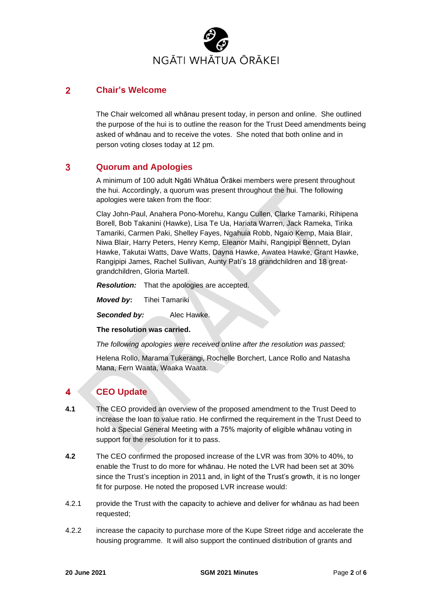

#### $\overline{2}$ **Chair's Welcome**

The Chair welcomed all whānau present today, in person and online. She outlined the purpose of the hui is to outline the reason for the Trust Deed amendments being asked of whānau and to receive the votes. She noted that both online and in person voting closes today at 12 pm.

#### 3 **Quorum and Apologies**

A minimum of 100 adult Ngāti Whātua Ōrākei members were present throughout the hui. Accordingly, a quorum was present throughout the hui. The following apologies were taken from the floor:

Clay John-Paul, Anahera Pono-Morehu, Kangu Cullen, Clarke Tamariki, Rihipena Borell, Bob Takanini (Hawke), Lisa Te Ua, Hariata Warren, Jack Rameka, Tirika Tamariki, Carmen Paki, Shelley Fayes, Ngahuia Robb, Ngaio Kemp, Maia Blair, Niwa Blair, Harry Peters, Henry Kemp, Eleanor Maihi, Rangipipi Bennett, Dylan Hawke, Takutai Watts, Dave Watts, Dayna Hawke, Awatea Hawke, Grant Hawke, Rangipipi James, Rachel Sullivan, Aunty Pati's 18 grandchildren and 18 greatgrandchildren, Gloria Martell.

*Resolution:* That the apologies are accepted.

*Moved by***:** Tihei Tamariki

*Seconded by:* Alec Hawke.

**The resolution was carried.**

*The following apologies were received online after the resolution was passed;*

Helena Rollo, Marama Tukerangi, Rochelle Borchert, Lance Rollo and Natasha Mana, Fern Waata, Waaka Waata.

#### $\blacktriangle$ **CEO Update**

- **4.1** The CEO provided an overview of the proposed amendment to the Trust Deed to increase the loan to value ratio. He confirmed the requirement in the Trust Deed to hold a Special General Meeting with a 75% majority of eligible whānau voting in support for the resolution for it to pass.
- **4.2** The CEO confirmed the proposed increase of the LVR was from 30% to 40%, to enable the Trust to do more for whānau. He noted the LVR had been set at 30% since the Trust's inception in 2011 and, in light of the Trust's growth, it is no longer fit for purpose. He noted the proposed LVR increase would:
- 4.2.1 provide the Trust with the capacity to achieve and deliver for whānau as had been requested;
- 4.2.2 increase the capacity to purchase more of the Kupe Street ridge and accelerate the housing programme. It will also support the continued distribution of grants and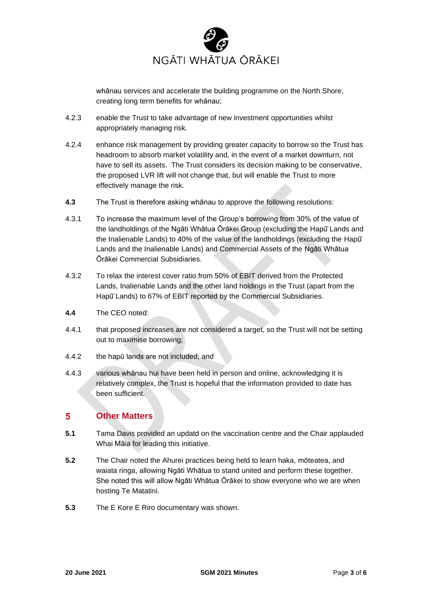

whānau services and accelerate the building programme on the North Shore, creating long term benefits for whānau;

- 4.2.3 enable the Trust to take advantage of new investment opportunities whilst appropriately managing risk.
- 4.2.4 enhance risk management by providing greater capacity to borrow so the Trust has headroom to absorb market volatility and, in the event of a market downturn, not have to sell its assets. The Trust considers its decision making to be conservative, the proposed LVR lift will not change that, but will enable the Trust to more effectively manage the risk.
- **4.3** The Trust is therefore asking whānau to approve the following resolutions:
- 4.3.1 To increase the maximum level of the Group's borrowing from 30% of the value of the landholdings of the Ngāti Whātua Ōrākei Group (excluding the Hapū̄Lands and the Inalienable Lands) to 40% of the value of the landholdings (excluding the Hapū̄ Lands and the Inalienable Lands) and Commercial Assets of the Ngāti Whātua Ōrākei Commercial Subsidiaries.
- 4.3.2 To relax the interest cover ratio from 50% of EBIT derived from the Protected Lands, Inalienable Lands and the other land holdings in the Trust (apart from the Hapū̄Lands) to 67% of EBIT reported by the Commercial Subsidiaries.
- **4.4** The CEO noted:
- 4.4.1 that proposed increases are not considered a target, so the Trust will not be setting out to maximise borrowing;
- 4.4.2 the hapū lands are not included; and
- 4.4.3 various whānau hui have been held in person and online, acknowledging it is relatively complex, the Trust is hopeful that the information provided to date has been sufficient.

#### 5 **Other Matters**

- **5.1** Tama Davis provided an updatd on the vaccination centre and the Chair applauded Whai Māia for leading this initiative.
- **5.2** The Chair noted the Ahurei practices being held to learn haka, mōteatea, and waiata ringa, allowing Ngāti Whātua to stand united and perform these together. She noted this will allow Ngāti Whātua Ōrākei to show everyone who we are when hosting Te Matatini.
- **5.3** The E Kore E Riro documentary was shown.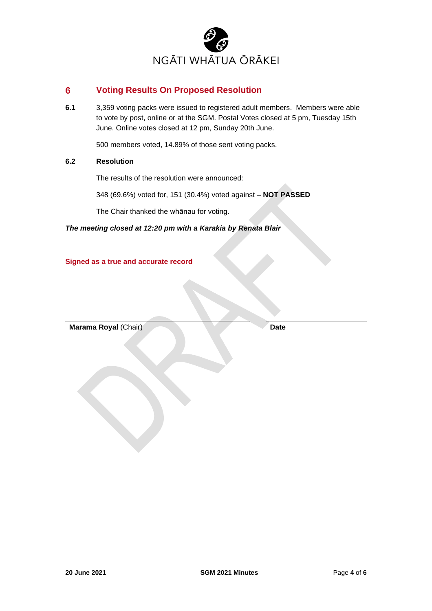

#### $6\phantom{1}$ **Voting Results On Proposed Resolution**

**6.1** 3,359 voting packs were issued to registered adult members. Members were able to vote by post, online or at the SGM. Postal Votes closed at 5 pm, Tuesday 15th June. Online votes closed at 12 pm, Sunday 20th June.

500 members voted, 14.89% of those sent voting packs.

## **6.2 Resolution**

The results of the resolution were announced:

348 (69.6%) voted for, 151 (30.4%) voted against – **NOT PASSED**

The Chair thanked the whānau for voting.

*The meeting closed at 12:20 pm with a Karakia by Renata Blair*

**Signed as a true and accurate record**

**Marama Royal (Chair) Date**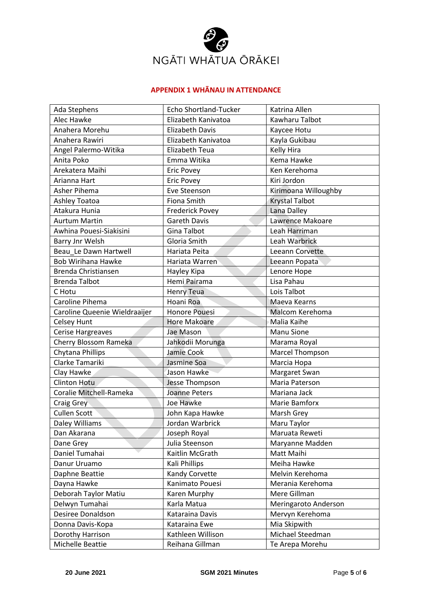

## **APPENDIX 1 WHĀNAU IN ATTENDANCE**

| Ada Stephens                  | <b>Echo Shortland-Tucker</b> | Katrina Allen         |
|-------------------------------|------------------------------|-----------------------|
| Alec Hawke                    | Elizabeth Kanivatoa          | Kawharu Talbot        |
| Anahera Morehu                | <b>Elizabeth Davis</b>       | Kaycee Hotu           |
| Anahera Rawiri                | Elizabeth Kanivatoa          | Kayla Gukibau         |
| Angel Palermo-Witika          | Elizabeth Teua               | Kelly Hira            |
| Anita Poko                    | Emma Witika                  | Kema Hawke            |
| Arekatera Maihi               | <b>Eric Povey</b>            | Ken Kerehoma          |
| Arianna Hart                  | <b>Eric Povey</b>            | Kiri Jordon           |
| Asher Pihema                  | Eve Steenson                 | Kirimoana Willoughby  |
| Ashley Toatoa                 | Fiona Smith                  | <b>Krystal Talbot</b> |
| Atakura Hunia                 | <b>Frederick Povey</b>       | Lana Dalley           |
| <b>Aurtum Martin</b>          | <b>Gareth Davis</b>          | Lawrence Makoare      |
| Awhina Pouesi-Siakisini       | Gina Talbot                  | Leah Harriman         |
| Barry Jnr Welsh               | Gloria Smith                 | Leah Warbrick         |
| Beau Le Dawn Hartwell         | Hariata Peita                | Leeann Corvette       |
| <b>Bob Wirihana Hawke</b>     | Hariata Warren               | Leeann Popata         |
| Brenda Christiansen           | Hayley Kipa                  | Lenore Hope           |
| <b>Brenda Talbot</b>          | Hemi Pairama                 | Lisa Pahau            |
| C Hotu                        | <b>Henry Teua</b>            | Lois Talbot           |
| Caroline Pihema               | Hoani Roa                    | Maeva Kearns          |
| Caroline Queenie Wieldraaijer | <b>Honore Pouesi</b>         | Malcom Kerehoma       |
| <b>Celsey Hunt</b>            | <b>Hore Makoare</b>          | Malia Kaihe           |
| Cerise Hargreaves             | Jae Mason                    | Manu Sione            |
| Cherry Blossom Rameka         | Jahkodii Morunga             | Marama Royal          |
| Chytana Phillips              | Jamie Cook                   | Marcel Thompson       |
| Clarke Tamariki               | Jasmine Soa                  | Marcia Hopa           |
| Clay Hawke                    | Jason Hawke                  | Margaret Swan         |
| <b>Clinton Hotu</b>           | Jesse Thompson               | Maria Paterson        |
| Coralie Mitchell-Rameka       | <b>Joanne Peters</b>         | Mariana Jack          |
| Craig Grey                    | Joe Hawke                    | Marie Bamforx         |
| <b>Cullen Scott</b>           | John Kapa Hawke              | Marsh Grey            |
| Daley Williams                | Jordan Warbrick              | Maru Taylor           |
| Dan Akarana                   | Joseph Royal                 | Maruata Reweti        |
| Dane Grey                     | Julia Steenson               | Maryanne Madden       |
| Daniel Tumahai                | Kaitlin McGrath              | Matt Maihi            |
| Danur Uruamo                  | Kali Phillips                | Meiha Hawke           |
| Daphne Beattie                | Kandy Corvette               | Melvin Kerehoma       |
| Dayna Hawke                   | Kanimato Pouesi              | Merania Kerehoma      |
| Deborah Taylor Matiu          | Karen Murphy                 | Mere Gillman          |
| Delwyn Tumahai                | Karla Matua                  | Meringaroto Anderson  |
| Desiree Donaldson             | Kataraina Davis              | Mervyn Kerehoma       |
| Donna Davis-Kopa              | Kataraina Ewe                | Mia Skipwith          |
| Dorothy Harrison              | Kathleen Willison            | Michael Steedman      |
| Michelle Beattie              | Reihana Gillman              | Te Arepa Morehu       |